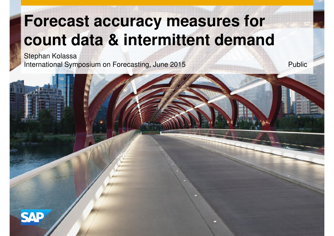## **Forecast accuracy measures for count data & intermittent demand**

Stephan KolassaInternational Symposium on Forecasting, June 2015

5 Public

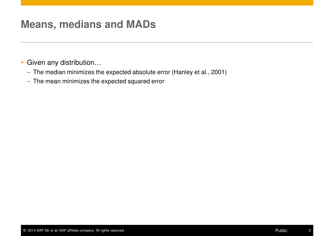### **Means, medians and MADs**

- Given any distribution...
	- The median minimizes the expected absolute error (Hanley et al., 2001)
	- The mean minimizes the expected squared error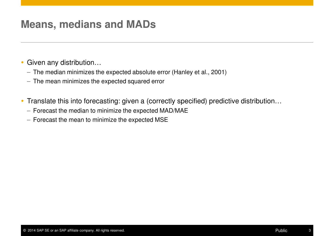### **Means, medians and MADs**

- Given any distribution...
	- The median minimizes the expected absolute error (Hanley et al., 2001)
	- The mean minimizes the expected squared error
- Translate this into forecasting: given a (correctly specified) predictive distribution…
	- Forecast the median to minimize the expected MAD/MAE
	- $-$  Forecast the mean to minimize the expected  ${\sf MSE}$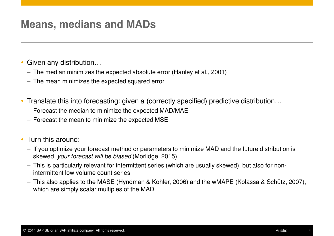### **Means, medians and MADs**

- Given any distribution...
	- The median minimizes the expected absolute error (Hanley et al., 2001)
	- The mean minimizes the expected squared error
- Translate this into forecasting: given a (correctly specified) predictive distribution…
	- Forecast the median to minimize the expected MAD/MAE
	- $-$  Forecast the mean to minimize the expected  ${\sf MSE}$
- Turn this around:
	- If you optimize your forecast method or parameters to minimize MAD and the future distribution is skewed, your forecast will be biased (Morlidge, 2015)!
	- $-$  This is particularly relevant for intermittent series (which are usually skewed), but also for nonintermittent low volume count series
	- This also applies to the MASE (Hyndman & Kohler, 2006) and the wMAPE (Kolassa & Schütz, 2007), which are simply scalar multiples of the MAD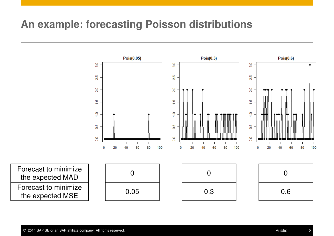### **An example: forecasting Poisson distributions**

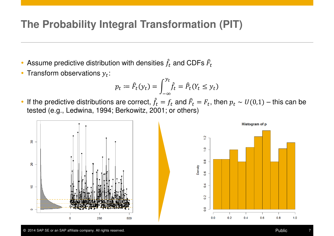### **The Probability Integral Transformation (PIT)**

- $\bullet$ • Assume predictive distribution with densities  $\hat{f}_t$  $\widehat{f}_t$  and CDFs  $\widehat{F}_t$
- Transform observations  $y_t$ :

$$
p_t \coloneqq \hat{F}_t(y_t) = \int_{-\infty}^{y_t} \hat{f}_t = \hat{P}_t(Y_t \le y_t)
$$

 $\bullet$ If the predictive distributions are correct,  $\hat{f}_t$  tested (e.g., Ledwina, 1994; Berkowitz, 2001; or others) $\hat{f}_t = f_t$  and  $\hat{F}_t = F_t$ , then  $p_t \sim U(0,1)$  – this can be



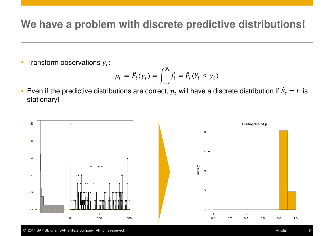### **We have a problem with discrete predictive distributions!**

• Transform observations  $y_t$ :

$$
p_t \coloneqq \hat{F}_t(y_t) = \int_{-\infty}^{y_t} \hat{f}_t = \hat{P}_t(Y_t \le y_t)
$$

• Even if the predictive distributions are correct,  $p_t$  will have a discrete distribution if  $\hat{F}_t = F$  is stationary!

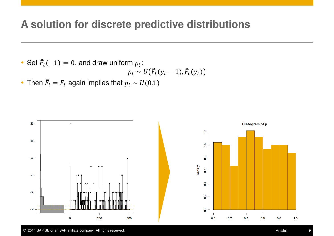### **A solution for discrete predictive distributions**

• Set  $\widehat{F}_t(-1) \coloneqq 0$ , and draw uniform  $p_t$ :

$$
p_t \sim U(\hat{F}_t(y_t-1), \hat{F}_t(y_t))
$$

• Then  $\hat{F}_t = F_t$  again implies that  $p_t \sim U(0,1)$ 



 $1.0$ 

 $0.8$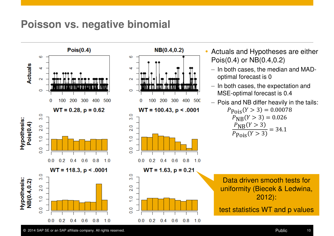### **Poisson vs. negative binomial**

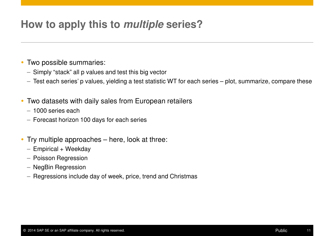### **How to apply this to multiple series?**

#### Two possible summaries:

- Simply "stack" all p values and test this big vector
- $-$  Test each series' p values, yielding a test statistic WT for each series  $-$  plot, summarize, compare these
- Two datasets with daily sales from European retailers
	- 1000 series each
	- Forecast horizon 100 days for each series
- Try multiple approaches here, look at three:
	- Empirical + Weekday
	- Poisson Regression
	- NegBin Regression
	- Regressions include day of week, price, trend and Christmas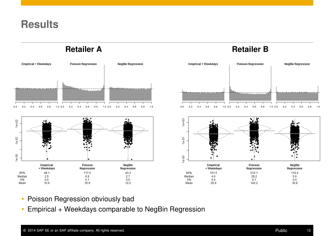### **Results**

**Retailer A**



#### **Retailer B Empirical + Weekdays Poisson Regression NegBin Regression**  $0.0$  $0.2$  $0.4$  $0.6$  $0.8$  $1.0 \t0.0$  $0.2$  $0.4$  $0.6$  $0.8$  $1.0 \t0.0$  $0.2$  $0.4$  $0.6$  $0.8$  $1.0$



- Poisson Regression obviously bad
- Empirical + Weekdays comparable to NegBin Regression $\bullet$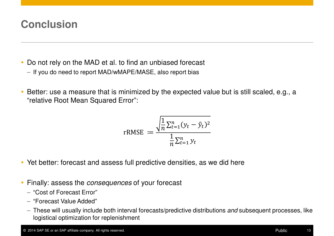### **Conclusion**

- Do not rely on the MAD et al. to find an unbiased forecast
	- If you do need to report MAD/wMAPE/MASE, also report bias
- $\bullet$  Better: use a measure that is minimized by the expected value but is still scaled, e.g., a "relative Root Mean Squared Error":

$$
rRMSE := \frac{\sqrt{\frac{1}{n}\sum_{t=1}^{n}(y_t - \hat{y}_t)^2}}{\frac{1}{n}\sum_{t=1}^{n}y_t}
$$

- Yet better: forecast and assess full predictive densities, as we did here
- **Finally: assess the consequences of your forecast** 
	- "Cost of Forecast Error"
	- "Forecast Value Added"
	- These will usually include both interval forecasts/predictive distributions *and* subsequent processes, like logistical optimization for replenishment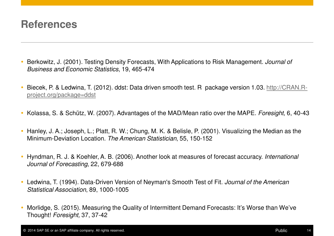### **References**

- Berkowitz, J. (2001). Testing Density Forecasts, With Applications to Risk Management. Journal of Business and Economic Statistics, 19, 465-474
- Biecek, P. & Ledwina, T. (2012). ddst: Data driven smooth test. R package version 1.03. http://CRAN.Rproject.org/package=ddst
- $\bullet$ Kolassa, S. & Schütz, W. (2007). Advantages of the MAD/Mean ratio over the MAPE. Foresight, 6, 40-43
- $\bullet$  Hanley, J. A.; Joseph, L.; Platt, R. W.; Chung, M. K. & Belisle, P. (2001). Visualizing the Median as the Minimum-Deviation Location. The American Statistician, 55, 150-152
- $\bullet$  Hyndman, R. J. & Koehler, A. B. (2006). Another look at measures of forecast accuracy. International Journal of Forecasting, 22, 679-688
- Ledwina, T. (1994). Data-Driven Version of Neyman's Smooth Test of Fit. Journal of the American Statistical Association, 89, 1000-1005
- $\bullet$  Morlidge, S. (2015). Measuring the Quality of Intermittent Demand Forecasts: It's Worse than We've Thought! Foresight, 37, 37-42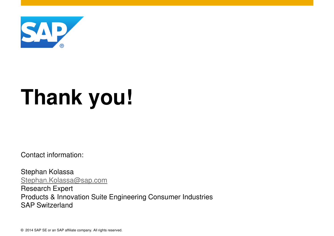

# **Thank you!**

Contact information:

Stephan Kolassa Stephan.Kolassa@sap.comResearch Expert Products & Innovation Suite Engineering Consumer IndustriesSAP Switzerland